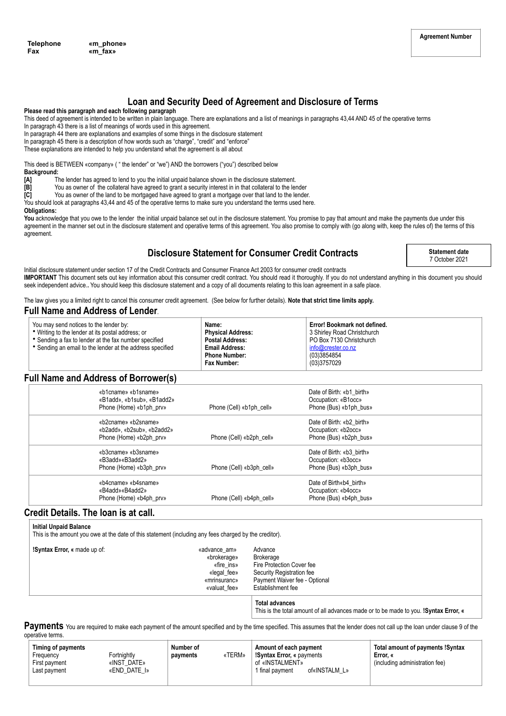### **Loan and Security Deed of Agreement and Disclosure of Terms**

#### **Please read this paragraph and each following paragraph**

This deed of agreement is intended to be written in plain language. There are explanations and a list of meanings in paragraphs 43,44 AND 45 of the operative terms In paragraph 43 there is a list of meanings of words used in this agreement.

In paragraph 44 there are explanations and examples of some things in the disclosure statement

- In paragraph 45 there is a description of how words such as "charge", "credit" and "enforce"
- These explanations are intended to help you understand what the agreement is all about

This deed is BETWEEN «company» ( " the lender" or "we") AND the borrowers ("you") described below

- **Background:**
- **[A]** The lender has agreed to lend to you the initial unpaid balance shown in the disclosure statement.
- **[B]** You as owner of the collateral have agreed to grant a security interest in in that collateral to the lender
- **[C]** You as owner of the land to be mortgaged have agreed to grant a mortgage over that land to the lender.
- You should look at paragraphs 43,44 and 45 of the operative terms to make sure you understand the terms used here.

#### **Obligations:**

You acknowledge that you owe to the lender the initial unpaid balance set out in the disclosure statement. You promise to pay that amount and make the payments due under this agreement in the manner set out in the disclosure statement and operative terms of this agreement. You also promise to comply with (go along with, keep the rules of) the terms of this agreement.

## **Disclosure Statement for Consumer Credit Contracts**

**Statement date** 7 October 2021

Initial disclosure statement under section 17 of the Credit Contracts and Consumer Finance Act 2003 for consumer credit contracts **IMPORTANT** This document sets out key information about this consumer credit contract. You should read it thoroughly. If you do not understand anything in this document you should seek independent advice.. You should keep this disclosure statement and a copy of all documents relating to this loan agreement in a safe place.

The law gives you a limited right to cancel this consumer credit agreement. (See below for further details). **Note that strict time limits apply.**

### **Full Name and Address of Lender**.

| You may send notices to the lender by:<br>• Writing to the lender at its postal address; or<br>• Sending a fax to lender at the fax number specified<br>• Sending an email to the lender at the address specified | Name:<br><b>Physical Address:</b><br><b>Postal Address:</b><br><b>Email Address:</b><br><b>Phone Number:</b><br>Fax Number: | Error! Bookmark not defined.<br>3 Shirley Road Christchurch<br>PO Box 7130 Christchurch<br>info@crester.co.nz<br>(03)3854854<br>(03)3757029 |
|-------------------------------------------------------------------------------------------------------------------------------------------------------------------------------------------------------------------|-----------------------------------------------------------------------------------------------------------------------------|---------------------------------------------------------------------------------------------------------------------------------------------|
|-------------------------------------------------------------------------------------------------------------------------------------------------------------------------------------------------------------------|-----------------------------------------------------------------------------------------------------------------------------|---------------------------------------------------------------------------------------------------------------------------------------------|

## **Full Name and Address of Borrower(s)**

| «b1cname» «b1sname»<br>«B1add», «b1sub», «B1add2» |                          | Date of Birth: «b1 birth»<br>Occupation: «B1occ» |  |
|---------------------------------------------------|--------------------------|--------------------------------------------------|--|
| Phone (Home) «b1ph prv»                           | Phone (Cell) «b1ph cell» | Phone (Bus) «b1ph bus»                           |  |
| «b2cname» «b2sname»                               |                          | Date of Birth: «b2 birth»                        |  |
| «b2add» «b2sub» «b2add2»                          |                          | Occupation: «b2occ»                              |  |
| Phone (Home) «b2ph prv»                           | Phone (Cell) «b2ph cell» | Phone (Bus) «b2ph bus»                           |  |
| «b3cname» «b3sname»                               |                          | Date of Birth: «b3 birth»                        |  |
| «B3add»«B3add2»                                   |                          | Occupation: «b3occ»                              |  |
| Phone (Home) «b3ph prv»                           | Phone (Cell) «b3ph cell» | Phone (Bus) «b3ph bus»                           |  |
| «b4cname» «b4sname»                               |                          | Date of Birth«b4 birth»                          |  |
| «B4add»«B4add2»                                   |                          | Occupation: «b4occ»                              |  |
| Phone (Home) «b4ph prv»                           | Phone (Cell) «b4ph_cell» | Phone (Bus) «b4ph bus»                           |  |

### **Credit Details. The loan is at call.**

### **Initial Unpaid Balance**

This is the amount you owe at the date of this statement (including any fees charged by the creditor).

| <b>Syntax Error, « made up of:</b> | «advance_am»<br>«brokerage»<br>«fire ins»<br>«legal_fee»<br>«mrinsuranc»<br>«valuat fee» | Advance<br>Brokerage<br>Fire Protection Cover fee<br>Security Registration fee<br>Payment Waiver fee - Optional<br>Establishment fee |
|------------------------------------|------------------------------------------------------------------------------------------|--------------------------------------------------------------------------------------------------------------------------------------|
|                                    |                                                                                          |                                                                                                                                      |

**Total advances** This is the total amount of all advances made or to be made to you. **!Syntax Error, «**

Payments You are required to make each payment of the amount specified and by the time specified. This assumes that the lender does not call up the loan under clause 9 of the operative terms.

| of«INSTALM L»<br>«END DATE I»<br>1 final payment<br>Last payment |  | Timing of payments<br>Frequency<br>First payment | Fortnightly<br>«INST DATE» | Number of<br>payments | «TERM» | Amount of each payment<br><b>Syntax Error, « payments!</b><br>of «INSTALMENT» | <b>Total amount of payments !Syntax</b><br>Error. «<br>(including administration fee) |
|------------------------------------------------------------------|--|--------------------------------------------------|----------------------------|-----------------------|--------|-------------------------------------------------------------------------------|---------------------------------------------------------------------------------------|
|------------------------------------------------------------------|--|--------------------------------------------------|----------------------------|-----------------------|--------|-------------------------------------------------------------------------------|---------------------------------------------------------------------------------------|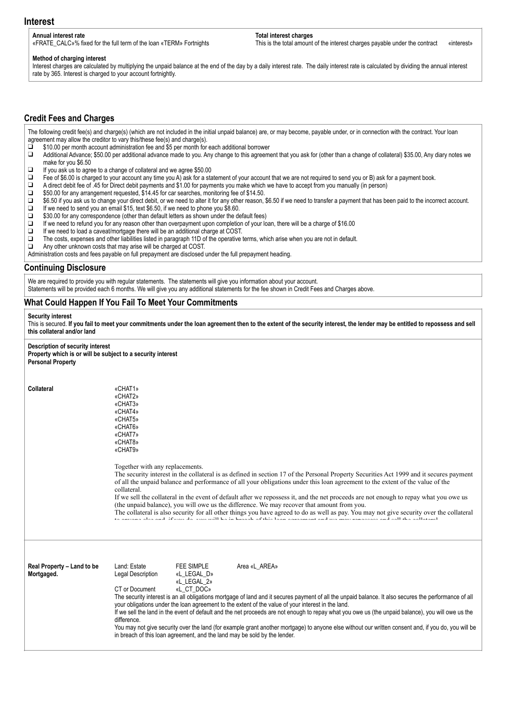### **Interest**

#### **Annual interest rate**

«FRATE\_CALC»% fixed for the full term of the loan «TERM» Fortnights

**Total interest charges**

This is the total amount of the interest charges payable under the contract «interest»

#### **Method of charging interest**

Interest charges are calculated by multiplying the unpaid balance at the end of the day by a daily interest rate. The daily interest rate is calculated by dividing the annual interest rate by 365. Interest is charged to your account fortnightly.

### **Credit Fees and Charges**

The following credit fee(s) and charge(s) (which are not included in the initial unpaid balance) are, or may become, payable under, or in connection with the contract. Your loan agreement may allow the creditor to vary this/these fee(s) and charge(s).

 $\overrightarrow{q}$  \$10.00 per month account administration fee and \$5 per month for each additional borrower

- Additional Advance; \$50.00 per additional advance made to you. Any change to this agreement that you ask for (other than a change of collateral) \$35.00, Any diary notes we make for you \$6.50
- ❑ If you ask us to agree to a change of collateral and we agree \$50.00
- ❑ Fee of \$6.00 is charged to your account any time you A) ask for a statement of your account that we are not required to send you or B) ask for a payment book.
- ❑ A direct debit fee of .45 for Direct debit payments and \$1.00 for payments you make which we have to accept from you manually (in person)
- ❑ \$50.00 for any arrangement requested, \$14.45 for car searches, monitoring fee of \$14.50.
- □ \$6.50 if you ask us to change your direct debit, or we need to alter it for any other reason, \$6.50 if we need to transfer a payment that has been paid to the incorrect account.<br>□ If we need to send you an email \$15. te
- If we need to send you an email \$15, text \$6.50, if we need to phone you \$8.60.
- ❑ \$30.00 for any correspondence (other than default letters as shown under the default fees)
- $□$  If we need to refund you for any reason other than overpayment upon completion of your loan, there will be a charge of \$16.00  $□$  If we need to load a caveat/mortgage there will be an additional charge at COST
- $\Box$  If we need to load a caveat/mortgage there will be an additional charge at COST.<br> $\Box$  The costs expenses and other liabilities listed in paragraph 11D of the operative
- ❑ The costs, expenses and other liabilities listed in paragraph 11D of the operative terms, which arise when you are not in default.
- Any other unknown costs that may arise will be charged at COST.
- Administration costs and fees payable on full prepayment are disclosed under the full prepayment heading.

#### **Continuing Disclosure**

We are required to provide you with regular statements. The statements will give you information about your account. Statements will be provided each 6 months. We will give you any additional statements for the fee shown in Credit Fees and Charges above.

### **What Could Happen If You Fail To Meet Your Commitments**

#### **Security interest**

This is secured. If you fail to meet your commitments under the loan agreement then to the extent of the security interest, the lender may be entitled to repossess and sell **this collateral and/or land** 

#### **Description of security interest**

| Property which is or will be subject to a security interest<br><b>Personal Property</b> |                                                                                                                                                                                                                                                                                                                                                                                                                                                                                                                                                                                                                                                                                                                                                                                                                                           |
|-----------------------------------------------------------------------------------------|-------------------------------------------------------------------------------------------------------------------------------------------------------------------------------------------------------------------------------------------------------------------------------------------------------------------------------------------------------------------------------------------------------------------------------------------------------------------------------------------------------------------------------------------------------------------------------------------------------------------------------------------------------------------------------------------------------------------------------------------------------------------------------------------------------------------------------------------|
| <b>Collateral</b>                                                                       | «CHAT1»<br>«CHAT2»<br>«CHAT3»<br>«CHAT4»<br>«CHAT5»<br>«CHAT6»<br>«CHAT7»<br>«CHAT8»<br>«CHAT9»                                                                                                                                                                                                                                                                                                                                                                                                                                                                                                                                                                                                                                                                                                                                           |
|                                                                                         | Together with any replacements.<br>The security interest in the collateral is as defined in section 17 of the Personal Property Securities Act 1999 and it secures payment<br>of all the unpaid balance and performance of all your obligations under this loan agreement to the extent of the value of the<br>collateral.<br>If we sell the collateral in the event of default after we repossess it, and the net proceeds are not enough to repay what you owe us<br>(the unpaid balance), you will owe us the difference. We may recover that amount from you.<br>The collateral is also security for all other things you have agreed to do as well as pay. You may not give security over the collateral<br>to any and also and if you do you will be in broach of this loop acrooment and you may repose as and soll the collateral |
| Real Property - Land to be<br>Mortgaged.                                                | Land: Estate<br><b>FEE SIMPLE</b><br>Area «L AREA»<br>Legal Description<br>«L LEGAL D»<br>«L LEGAL 2»<br>CT or Document<br>«L CT DOC»<br>The security interest is an all obligations mortgage of land and it secures payment of all the unpaid balance. It also secures the performance of all<br>your obligations under the loan agreement to the extent of the value of your interest in the land.<br>If we sell the land in the event of default and the net proceeds are not enough to repay what you owe us (the unpaid balance), you will owe us the<br>difference.<br>You may not give security over the land (for example grant another mortgage) to anyone else without our written consent and, if you do, you will be<br>in breach of this loan agreement, and the land may be sold by the lender.                             |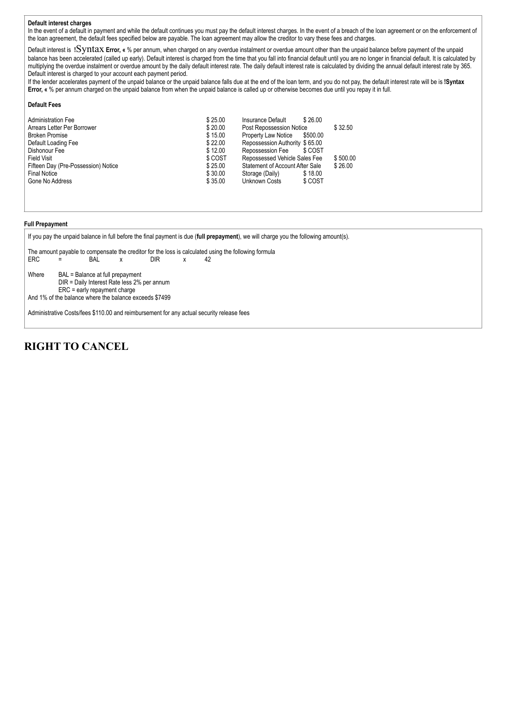#### **Default interest charges**

In the event of a default in payment and while the default continues you must pay the default interest charges. In the event of a breach of the loan agreement or on the enforcement of the loan agreement, the default fees specified below are payable. The loan agreement may allow the creditor to vary these fees and charges.

Default interest is **!**Syntax **Error, «** % per annum, when charged on any overdue instalment or overdue amount other than the unpaid balance before payment of the unpaid balance has been accelerated (called up early). Default interest is charged from the time that you fall into financial default until you are no longer in financial default. It is calculated by multiplying the overdue instalment or overdue amount by the daily default interest rate. The daily default interest rate is calculated by dividing the annual default interest rate by 365. Default interest is charged to your account each payment period.

If the lender accelerates payment of the unpaid balance or the unpaid balance falls due at the end of the loan term, and you do not pay, the default interest rate will be is **!Syntax Error, «** % per annum charged on the unpaid balance from when the unpaid balance is called up or otherwise becomes due until you repay it in full.

#### **Default Fees**

| <b>Administration Fee</b>           | \$25.00                                    | Insurance Default<br>\$26.00                      |         |
|-------------------------------------|--------------------------------------------|---------------------------------------------------|---------|
| Arrears Letter Per Borrower         | \$20.00<br>Post Repossession Notice        |                                                   | \$32.50 |
| <b>Broken Promise</b>               | \$15.00<br>Property Law Notice<br>\$500.00 |                                                   |         |
| Default Loading Fee                 | \$22.00                                    | Repossession Authority \$65.00                    |         |
| Dishonour Fee                       | \$12.00                                    | Repossession Fee<br>\$ COST                       |         |
| <b>Field Visit</b>                  | \$ COST                                    | Repossessed Vehicle Sales Fee                     |         |
| Fifteen Day (Pre-Possession) Notice | \$25.00                                    | \$26.00<br><b>Statement of Account After Sale</b> |         |
| <b>Final Notice</b>                 | \$30.00                                    | \$18.00<br>Storage (Daily)                        |         |
| Gone No Address                     | \$35.00                                    | Unknown Costs<br>\$ COST                          |         |
|                                     |                                            |                                                   |         |

#### **Full Prepayment**

If you pay the unpaid balance in full before the final payment is due (**full prepayment**), we will charge you the following amount(s). The amount payable to compensate the creditor for the loss is calculated using the following formula ERC = BAL x DIR x 42 Where BAL = Balance at full prepayment DIR = Daily Interest Rate less 2% per annum ERC = early repayment charge And 1% of the balance where the balance exceeds \$7499 Administrative Costs/fees \$110.00 and reimbursement for any actual security release fees

## **RIGHT TO CANCEL**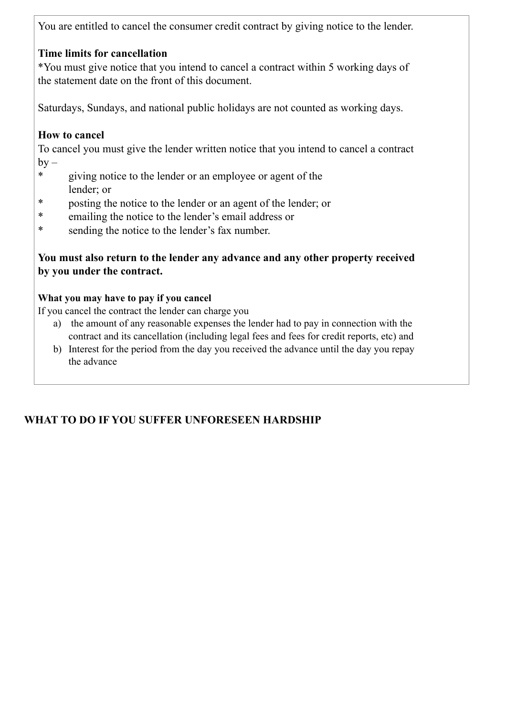You are entitled to cancel the consumer credit contract by giving notice to the lender.

# **Time limits for cancellation**

\*You must give notice that you intend to cancel a contract within 5 working days of the statement date on the front of this document.

Saturdays, Sundays, and national public holidays are not counted as working days.

# **How to cancel**

To cancel you must give the lender written notice that you intend to cancel a contract  $by -$ 

- \* giving notice to the lender or an employee or agent of the lender; or
- \* posting the notice to the lender or an agent of the lender; or
- \* emailing the notice to the lender's email address or
- \* sending the notice to the lender's fax number.

# **You must also return to the lender any advance and any other property received by you under the contract.**

## **What you may have to pay if you cancel**

If you cancel the contract the lender can charge you

- a) the amount of any reasonable expenses the lender had to pay in connection with the contract and its cancellation (including legal fees and fees for credit reports, etc) and
- b) Interest for the period from the day you received the advance until the day you repay the advance

# **WHAT TO DO IF YOU SUFFER UNFORESEEN HARDSHIP**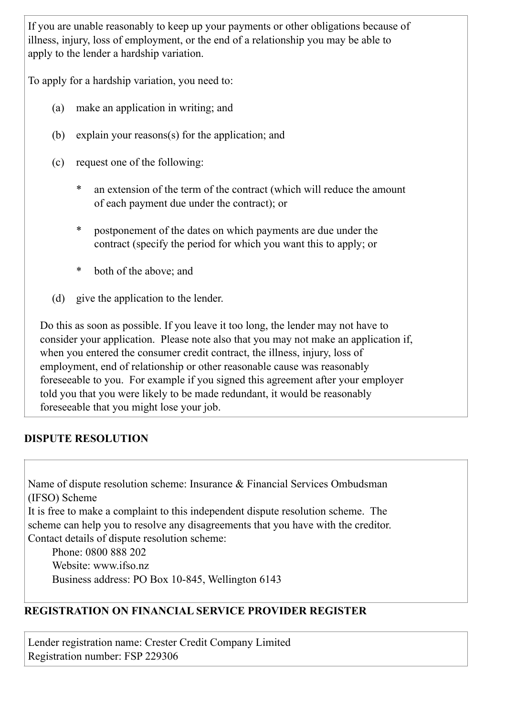If you are unable reasonably to keep up your payments or other obligations because of illness, injury, loss of employment, or the end of a relationship you may be able to apply to the lender a hardship variation.

To apply for a hardship variation, you need to:

- (a) make an application in writing; and
- (b) explain your reasons(s) for the application; and
- (c) request one of the following:
	- \* an extension of the term of the contract (which will reduce the amount of each payment due under the contract); or
	- \* postponement of the dates on which payments are due under the contract (specify the period for which you want this to apply; or
	- \* both of the above; and
- (d) give the application to the lender.

Do this as soon as possible. If you leave it too long, the lender may not have to consider your application. Please note also that you may not make an application if, when you entered the consumer credit contract, the illness, injury, loss of employment, end of relationship or other reasonable cause was reasonably foreseeable to you. For example if you signed this agreement after your employer told you that you were likely to be made redundant, it would be reasonably foreseeable that you might lose your job.

# **DISPUTE RESOLUTION**

Name of dispute resolution scheme: Insurance & Financial Services Ombudsman (IFSO) Scheme

It is free to make a complaint to this independent dispute resolution scheme. The scheme can help you to resolve any disagreements that you have with the creditor. Contact details of dispute resolution scheme:

Phone: 0800 888 202 Website: www.jfso.nz. Business address: PO Box 10-845, Wellington 6143

# **REGISTRATION ON FINANCIAL SERVICE PROVIDER REGISTER**

Lender registration name: Crester Credit Company Limited Registration number: FSP 229306